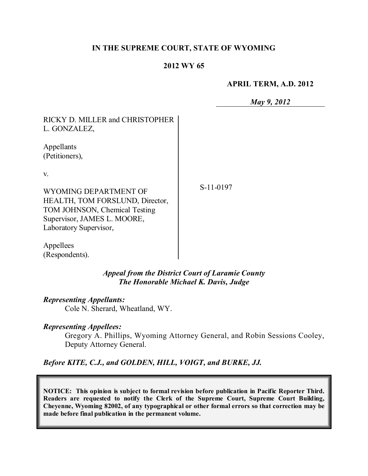### **IN THE SUPREME COURT, STATE OF WYOMING**

### **2012 WY 65**

#### **APRIL TERM, A.D. 2012**

*May 9, 2012*

| RICKY D. MILLER and CHRISTOPHER |
|---------------------------------|
| L. GONZALEZ,                    |
|                                 |

Appellants (Petitioners),

v.

WYOMING DEPARTMENT OF HEALTH, TOM FORSLUND, Director, TOM JOHNSON, Chemical Testing Supervisor, JAMES L. MOORE, Laboratory Supervisor,

S-11-0197

Appellees (Respondents).

> *Appeal from the District Court of Laramie County The Honorable Michael K. Davis, Judge*

### *Representing Appellants:*

Cole N. Sherard, Wheatland, WY.

### *Representing Appellees:*

Gregory A. Phillips, Wyoming Attorney General, and Robin Sessions Cooley, Deputy Attorney General.

*Before KITE, C.J., and GOLDEN, HILL, VOIGT, and BURKE, JJ.*

**NOTICE: This opinion is subject to formal revision before publication in Pacific Reporter Third. Readers are requested to notify the Clerk of the Supreme Court, Supreme Court Building, Cheyenne, Wyoming 82002, of any typographical or other formal errors so that correction may be made before final publication in the permanent volume.**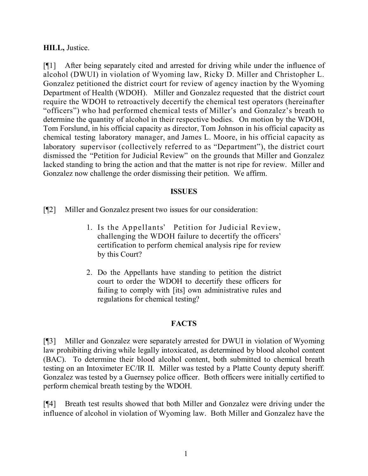### **HILL,** Justice.

[¶1] After being separately cited and arrested for driving while under the influence of alcohol (DWUI) in violation of Wyoming law, Ricky D. Miller and Christopher L. Gonzalez petitioned the district court for review of agency inaction by the Wyoming Department of Health (WDOH). Miller and Gonzalez requested that the district court require the WDOH to retroactively decertify the chemical test operators (hereinafter "officers") who had performed chemical tests of Miller's and Gonzalez's breath to determine the quantity of alcohol in their respective bodies. On motion by the WDOH, Tom Forslund, in his official capacity as director, Tom Johnson in his official capacity as chemical testing laboratory manager, and James L. Moore, in his official capacity as laboratory supervisor (collectively referred to as "Department"), the district court dismissed the "Petition for Judicial Review" on the grounds that Miller and Gonzalez lacked standing to bring the action and that the matter is not ripe for review. Miller and Gonzalez now challenge the order dismissing their petition. We affirm.

### **ISSUES**

[¶2] Miller and Gonzalez present two issues for our consideration:

- 1. Is the Appellants' Petition for Judicial Review, challenging the WDOH failure to decertify the officers' certification to perform chemical analysis ripe for review by this Court?
- 2. Do the Appellants have standing to petition the district court to order the WDOH to decertify these officers for failing to comply with [its] own administrative rules and regulations for chemical testing?

### **FACTS**

[¶3] Miller and Gonzalez were separately arrested for DWUI in violation of Wyoming law prohibiting driving while legally intoxicated, as determined by blood alcohol content (BAC). To determine their blood alcohol content, both submitted to chemical breath testing on an Intoximeter EC/IR II. Miller was tested by a Platte County deputy sheriff. Gonzalez was tested by a Guernsey police officer. Both officers were initially certified to perform chemical breath testing by the WDOH.

[¶4] Breath test results showed that both Miller and Gonzalez were driving under the influence of alcohol in violation of Wyoming law. Both Miller and Gonzalez have the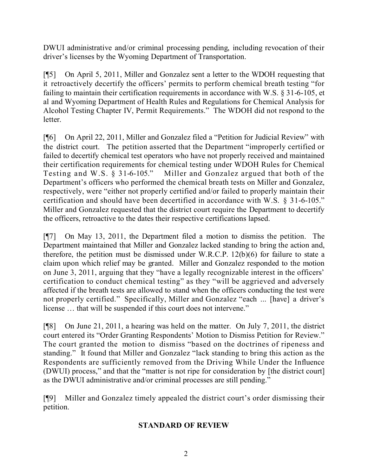DWUI administrative and/or criminal processing pending, including revocation of their driver's licenses by the Wyoming Department of Transportation.

[¶5] On April 5, 2011, Miller and Gonzalez sent a letter to the WDOH requesting that it retroactively decertify the officers' permits to perform chemical breath testing "for failing to maintain their certification requirements in accordance with W.S. § 31-6-105, et al and Wyoming Department of Health Rules and Regulations for Chemical Analysis for Alcohol Testing Chapter IV, Permit Requirements." The WDOH did not respond to the letter.

[¶6] On April 22, 2011, Miller and Gonzalez filed a "Petition for Judicial Review" with the district court. The petition asserted that the Department "improperly certified or failed to decertify chemical test operators who have not properly received and maintained their certification requirements for chemical testing under WDOH Rules for Chemical Testing and W.S. § 31-6-105." Miller and Gonzalez argued that both of the Miller and Gonzalez argued that both of the Department's officers who performed the chemical breath tests on Miller and Gonzalez, respectively, were "either not properly certified and/or failed to properly maintain their certification and should have been decertified in accordance with W.S. § 31-6-105." Miller and Gonzalez requested that the district court require the Department to decertify the officers, retroactive to the dates their respective certifications lapsed.

[¶7] On May 13, 2011, the Department filed a motion to dismiss the petition. The Department maintained that Miller and Gonzalez lacked standing to bring the action and, therefore, the petition must be dismissed under W.R.C.P. 12(b)(6) for failure to state a claim upon which relief may be granted. Miller and Gonzalez responded to the motion on June 3, 2011, arguing that they "have a legally recognizable interest in the officers' certification to conduct chemical testing" as they "will be aggrieved and adversely affected if the breath tests are allowed to stand when the officers conducting the test were not properly certified." Specifically, Miller and Gonzalez "each ... [have] a driver's license … that will be suspended if this court does not intervene."

[¶8] On June 21, 2011, a hearing was held on the matter. On July 7, 2011, the district court entered its "Order Granting Respondents' Motion to Dismiss Petition for Review." The court granted the motion to dismiss "based on the doctrines of ripeness and standing." It found that Miller and Gonzalez "lack standing to bring this action as the Respondents are sufficiently removed from the Driving While Under the Influence (DWUI) process," and that the "matter is not ripe for consideration by [the district court] as the DWUI administrative and/or criminal processes are still pending."

[¶9] Miller and Gonzalez timely appealed the district court's order dismissing their petition.

# **STANDARD OF REVIEW**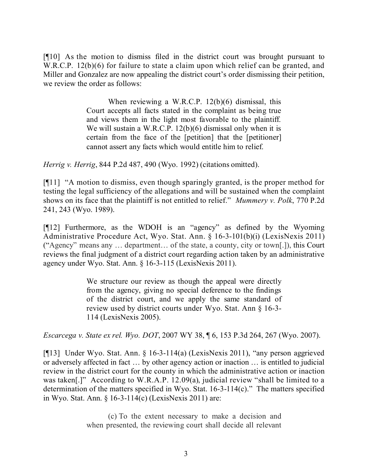[¶10] As the motion to dismiss filed in the district court was brought pursuant to W.R.C.P. 12(b)(6) for failure to state a claim upon which relief can be granted, and Miller and Gonzalez are now appealing the district court's order dismissing their petition, we review the order as follows:

> When reviewing a W.R.C.P. 12(b)(6) dismissal, this Court accepts all facts stated in the complaint as being true and views them in the light most favorable to the plaintiff. We will sustain a W.R.C.P. 12(b)(6) dismissal only when it is certain from the face of the [petition] that the [petitioner] cannot assert any facts which would entitle him to relief.

*Herrig v. Herrig*, 844 P.2d 487, 490 (Wyo. 1992) (citations omitted).

[¶11] "A motion to dismiss, even though sparingly granted, is the proper method for testing the legal sufficiency of the allegations and will be sustained when the complaint shows on its face that the plaintiff is not entitled to relief." *Mummery v. Polk*, 770 P.2d 241, 243 (Wyo. 1989).

[¶12] Furthermore, as the WDOH is an "agency" as defined by the Wyoming Administrative Procedure Act, Wyo. Stat. Ann. § 16-3-101(b)(i) (LexisNexis 2011) ("Agency" means any … department… of the state, a county, city or town[.]), this Court reviews the final judgment of a district court regarding action taken by an administrative agency under Wyo. Stat. Ann. § 16-3-115 (LexisNexis 2011).

> We structure our review as though the appeal were directly from the agency, giving no special deference to the findings of the district court, and we apply the same standard of review used by district courts under Wyo. Stat. Ann § 16-3- 114 (LexisNexis 2005).

*Escarcega v. State ex rel. Wyo. DOT*, 2007 WY 38, ¶ 6, 153 P.3d 264, 267 (Wyo. 2007).

[¶13] Under Wyo. Stat. Ann. § 16-3-114(a) (LexisNexis 2011), "any person aggrieved or adversely affected in fact … by other agency action or inaction … is entitled to judicial review in the district court for the county in which the administrative action or inaction was taken[.]" According to W.R.A.P. 12.09(a), judicial review "shall be limited to a determination of the matters specified in Wyo. Stat. 16-3-114(c)." The matters specified in Wyo. Stat. Ann. § 16-3-114(c) (LexisNexis 2011) are:

> (c) To the extent necessary to make a decision and when presented, the reviewing court shall decide all relevant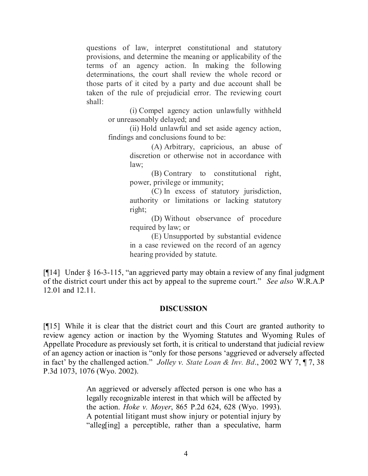questions of law, interpret constitutional and statutory provisions, and determine the meaning or applicability of the terms of an agency action. In making the following determinations, the court shall review the whole record or those parts of it cited by a party and due account shall be taken of the rule of prejudicial error. The reviewing court shall:

(i) Compel agency action unlawfully withheld or unreasonably delayed; and

(ii) Hold unlawful and set aside agency action, findings and conclusions found to be:

> (A) Arbitrary, capricious, an abuse of discretion or otherwise not in accordance with law;

> (B) Contrary to constitutional right, power, privilege or immunity;

> (C) In excess of statutory jurisdiction, authority or limitations or lacking statutory right;

> (D) Without observance of procedure required by law; or

> (E) Unsupported by substantial evidence in a case reviewed on the record of an agency hearing provided by statute.

[¶14] Under § 16-3-115, "an aggrieved party may obtain a review of any final judgment of the district court under this act by appeal to the supreme court." *See also* W.R.A.P 12.01 and 12.11.

## **DISCUSSION**

[¶15] While it is clear that the district court and this Court are granted authority to review agency action or inaction by the Wyoming Statutes and Wyoming Rules of Appellate Procedure as previously set forth, it is critical to understand that judicial review of an agency action or inaction is "only for those persons 'aggrieved or adversely affected in fact' by the challenged action." *Jolley v. State Loan & Inv. Bd*., 2002 WY 7, ¶ 7, 38 P.3d 1073, 1076 (Wyo. 2002).

> An aggrieved or adversely affected person is one who has a legally recognizable interest in that which will be affected by the action. *Hoke v. Moyer*, 865 P.2d 624, 628 (Wyo. 1993). A potential litigant must show injury or potential injury by "alleg[ing] a perceptible, rather than a speculative, harm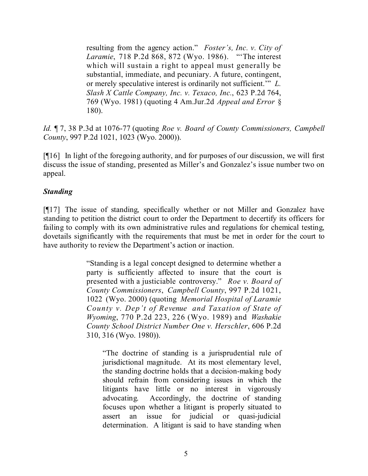resulting from the agency action." *Foster's, Inc. v. City of Laramie*, 718 P.2d 868, 872 (Wyo. 1986). "'The interest which will sustain a right to appeal must generally be substantial, immediate, and pecuniary. A future, contingent, or merely speculative interest is ordinarily not sufficient.'" *L. Slash X Cattle Company, Inc. v. Texaco, Inc.*, 623 P.2d 764, 769 (Wyo. 1981) (quoting 4 Am.Jur.2d *Appeal and Error* § 180).

*Id.* ¶ 7, 38 P.3d at 1076-77 (quoting *Roe v. Board of County Commissioners, Campbell County*, 997 P.2d 1021, 1023 (Wyo. 2000)).

[¶16] In light of the foregoing authority, and for purposes of our discussion, we will first discuss the issue of standing, presented as Miller's and Gonzalez's issue number two on appeal.

## *Standing*

[¶17] The issue of standing, specifically whether or not Miller and Gonzalez have standing to petition the district court to order the Department to decertify its officers for failing to comply with its own administrative rules and regulations for chemical testing, dovetails significantly with the requirements that must be met in order for the court to have authority to review the Department's action or inaction.

> "Standing is a legal concept designed to determine whether a party is sufficiently affected to insure that the court is presented with a justiciable controversy." *Roe v. Board of County Commissioners*, *Campbell County*, 997 P.2d 1021, 1022 (Wyo. 2000) (quoting *Memorial Hospital of Laramie County v. Dep't of Revenue and Taxation of State of Wyoming*, 770 P.2d 223, 226 (Wyo. 1989) and *Washakie County School District Number One v. Herschler*, 606 P.2d 310, 316 (Wyo. 1980)).

"The doctrine of standing is a jurisprudential rule of jurisdictional magnitude. At its most elementary level, the standing doctrine holds that a decision-making body should refrain from considering issues in which the litigants have little or no interest in vigorously advocating. Accordingly, the doctrine of standing focuses upon whether a litigant is properly situated to assert an issue for judicial or quasi-judicial determination. A litigant is said to have standing when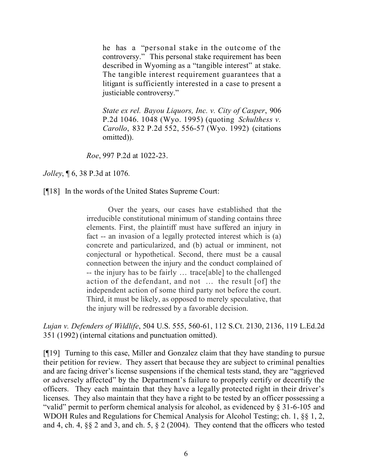he has a "personal stake in the outcome of the controversy." This personal stake requirement has been described in Wyoming as a "tangible interest" at stake. The tangible interest requirement guarantees that a litigant is sufficiently interested in a case to present a justiciable controversy."

*State ex rel. Bayou Liquors, Inc. v. City of Casper*, 906 P.2d 1046. 1048 (Wyo. 1995) (quoting *Schulthess v. Carollo*, 832 P.2d 552, 556-57 (Wyo. 1992) (citations omitted)).

*Roe*, 997 P.2d at 1022-23.

*Jolley*, ¶ 6, 38 P.3d at 1076*.*

[¶18] In the words of the United States Supreme Court:

Over the years, our cases have established that the irreducible constitutional minimum of standing contains three elements. First, the plaintiff must have suffered an injury in fact -- an invasion of a legally protected interest which is (a) concrete and particularized, and (b) actual or imminent, not conjectural or hypothetical. Second, there must be a causal connection between the injury and the conduct complained of -- the injury has to be fairly … trace[able] to the challenged action of the defendant, and not … the result [of] the independent action of some third party not before the court. Third, it must be likely, as opposed to merely speculative, that the injury will be redressed by a favorable decision.

*Lujan v. Defenders of Wildlife*, 504 U.S. 555, 560-61, 112 S.Ct. 2130, 2136, 119 L.Ed.2d 351 (1992) (internal citations and punctuation omitted).

[¶19] Turning to this case, Miller and Gonzalez claim that they have standing to pursue their petition for review. They assert that because they are subject to criminal penalties and are facing driver's license suspensions if the chemical tests stand, they are "aggrieved or adversely affected" by the Department's failure to properly certify or decertify the officers. They each maintain that they have a legally protected right in their driver's licenses. They also maintain that they have a right to be tested by an officer possessing a "valid" permit to perform chemical analysis for alcohol, as evidenced by § 31-6-105 and WDOH Rules and Regulations for Chemical Analysis for Alcohol Testing; ch. 1, §§ 1, 2, and 4, ch. 4, §§ 2 and 3, and ch. 5, § 2 (2004). They contend that the officers who tested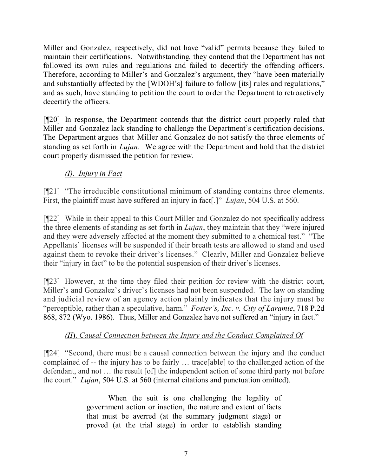Miller and Gonzalez, respectively, did not have "valid" permits because they failed to maintain their certifications. Notwithstanding, they contend that the Department has not followed its own rules and regulations and failed to decertify the offending officers. Therefore, according to Miller's and Gonzalez's argument, they "have been materially and substantially affected by the [WDOH's] failure to follow [its] rules and regulations," and as such, have standing to petition the court to order the Department to retroactively decertify the officers.

[¶20] In response, the Department contends that the district court properly ruled that Miller and Gonzalez lack standing to challenge the Department's certification decisions. The Department argues that Miller and Gonzalez do not satisfy the three elements of standing as set forth in *Lujan*. We agree with the Department and hold that the district court properly dismissed the petition for review.

# *(I). Injury in Fact*

[¶21] "The irreducible constitutional minimum of standing contains three elements. First, the plaintiff must have suffered an injury in fact[.]" *Lujan*, 504 U.S. at 560.

[¶22] While in their appeal to this Court Miller and Gonzalez do not specifically address the three elements of standing as set forth in *Lujan*, they maintain that they "were injured and they were adversely affected at the moment they submitted to a chemical test." "The Appellants' licenses will be suspended if their breath tests are allowed to stand and used against them to revoke their driver's licenses." Clearly, Miller and Gonzalez believe their "injury in fact" to be the potential suspension of their driver's licenses.

[¶23] However, at the time they filed their petition for review with the district court, Miller's and Gonzalez's driver's licenses had not been suspended. The law on standing and judicial review of an agency action plainly indicates that the injury must be "perceptible, rather than a speculative, harm." *Foster's, Inc. v. City of Laramie*, 718 P.2d 868, 872 (Wyo. 1986). Thus, Miller and Gonzalez have not suffered an "injury in fact."

# *(II*). *Causal Connection between the Injury and the Conduct Complained Of*

[¶24] "Second, there must be a causal connection between the injury and the conduct complained of -- the injury has to be fairly … trace[able] to the challenged action of the defendant, and not … the result [of] the independent action of some third party not before the court." *Lujan*, 504 U.S. at 560 (internal citations and punctuation omitted).

> When the suit is one challenging the legality of government action or inaction, the nature and extent of facts that must be averred (at the summary judgment stage) or proved (at the trial stage) in order to establish standing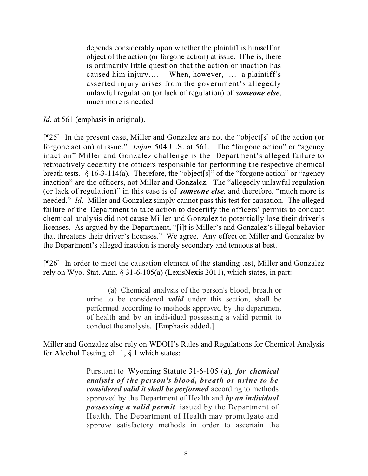depends considerably upon whether the plaintiff is himself an object of the action (or forgone action) at issue. If he is, there is ordinarily little question that the action or inaction has caused him injury…. When, however, … a plaintiff's asserted injury arises from the government's allegedly unlawful regulation (or lack of regulation) of *someone else*, much more is needed.

*Id.* at 561 (emphasis in original).

[¶25] In the present case, Miller and Gonzalez are not the "object[s] of the action (or forgone action) at issue." *Lujan* 504 U.S. at 561. The "forgone action" or "agency inaction" Miller and Gonzalez challenge is the Department's alleged failure to retroactively decertify the officers responsible for performing the respective chemical breath tests. § 16-3-114(a). Therefore, the "object[s]" of the "forgone action" or "agency inaction" are the officers, not Miller and Gonzalez. The "allegedly unlawful regulation (or lack of regulation)" in this case is of *someone else*, and therefore, "much more is needed." *Id*. Miller and Gonzalez simply cannot pass this test for causation. The alleged failure of the Department to take action to decertify the officers' permits to conduct chemical analysis did not cause Miller and Gonzalez to potentially lose their driver's licenses. As argued by the Department, "[i]t is Miller's and Gonzalez's illegal behavior that threatens their driver's licenses." We agree. Any effect on Miller and Gonzalez by the Department's alleged inaction is merely secondary and tenuous at best.

[¶26] In order to meet the causation element of the standing test, Miller and Gonzalez rely on Wyo. Stat. Ann. § 31-6-105(a) (LexisNexis 2011), which states, in part:

> (a) Chemical analysis of the person's blood, breath or urine to be considered *valid* under this section, shall be performed according to methods approved by the department of health and by an individual possessing a valid permit to conduct the analysis. [Emphasis added.]

Miller and Gonzalez also rely on WDOH's Rules and Regulations for Chemical Analysis for Alcohol Testing, ch. 1, § 1 which states:

> Pursuant to Wyoming Statute 31-6-105 (a), *for chemical analysis of the person's blood, breath or urine to be considered valid it shall be performed* according to methods approved by the Department of Health and *by an individual possessing a valid permit* issued by the Department of Health. The Department of Health may promulgate and approve satisfactory methods in order to ascertain the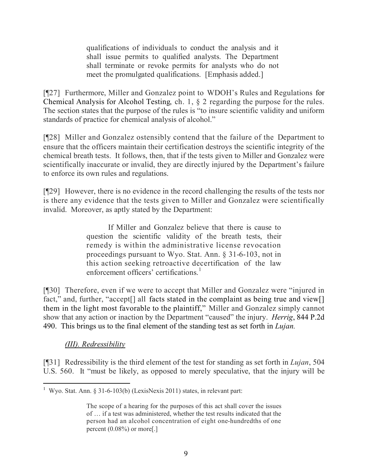qualifications of individuals to conduct the analysis and it shall issue permits to qualified analysts. The Department shall terminate or revoke permits for analysts who do not meet the promulgated qualifications. [Emphasis added.]

[¶27] Furthermore, Miller and Gonzalez point to WDOH's Rules and Regulations for Chemical Analysis for Alcohol Testing, ch. 1, § 2 regarding the purpose for the rules. The section states that the purpose of the rules is "to insure scientific validity and uniform standards of practice for chemical analysis of alcohol."

[¶28] Miller and Gonzalez ostensibly contend that the failure of the Department to ensure that the officers maintain their certification destroys the scientific integrity of the chemical breath tests. It follows, then, that if the tests given to Miller and Gonzalez were scientifically inaccurate or invalid, they are directly injured by the Department's failure to enforce its own rules and regulations.

[¶29] However, there is no evidence in the record challenging the results of the tests nor is there any evidence that the tests given to Miller and Gonzalez were scientifically invalid. Moreover, as aptly stated by the Department:

> If Miller and Gonzalez believe that there is cause to question the scientific validity of the breath tests, their remedy is within the administrative license revocation proceedings pursuant to Wyo. Stat. Ann. § 31-6-103, not in this action seeking retroactive decertification of the law enforcement officers' certifications.<sup>1</sup>

[¶30] Therefore, even if we were to accept that Miller and Gonzalez were "injured in fact," and, further, "accept<sup>[]</sup> all facts stated in the complaint as being true and view<sup>[]</sup> them in the light most favorable to the plaintiff," Miller and Gonzalez simply cannot show that any action or inaction by the Department "caused" the injury. *Herrig*, 844 P.2d 490. This brings us to the final element of the standing test as set forth in *Lujan.*

# *(III). Redressibility*

[¶31] Redressibility is the third element of the test for standing as set forth in *Lujan*, 504 U.S. 560. It "must be likely, as opposed to merely speculative, that the injury will be

 <sup>1</sup> Wyo. Stat. Ann. § 31-6-103(b) (LexisNexis 2011) states, in relevant part:

The scope of a hearing for the purposes of this act shall cover the issues of … if a test was administered, whether the test results indicated that the person had an alcohol concentration of eight one-hundredths of one percent (0.08%) or more[.]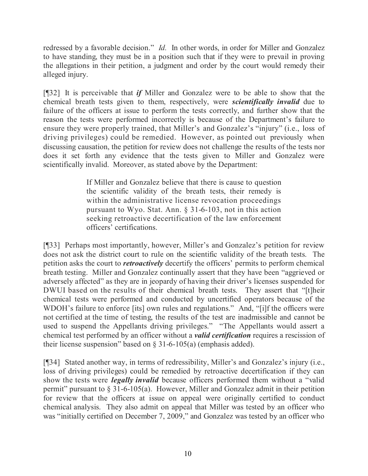redressed by a favorable decision." *Id.* In other words, in order for Miller and Gonzalez to have standing, they must be in a position such that if they were to prevail in proving the allegations in their petition, a judgment and order by the court would remedy their alleged injury.

[¶32] It is perceivable that *if* Miller and Gonzalez were to be able to show that the chemical breath tests given to them, respectively, were *scientifically invalid* due to failure of the officers at issue to perform the tests correctly, and further show that the reason the tests were performed incorrectly is because of the Department's failure to ensure they were properly trained, that Miller's and Gonzalez's "injury" (i.e., loss of driving privileges) could be remedied. However, as pointed out previously when discussing causation, the petition for review does not challenge the results of the tests nor does it set forth any evidence that the tests given to Miller and Gonzalez were scientifically invalid. Moreover, as stated above by the Department:

> If Miller and Gonzalez believe that there is cause to question the scientific validity of the breath tests, their remedy is within the administrative license revocation proceedings pursuant to Wyo. Stat. Ann. § 31-6-103, not in this action seeking retroactive decertification of the law enforcement officers' certifications.

[¶33] Perhaps most importantly, however, Miller's and Gonzalez's petition for review does not ask the district court to rule on the scientific validity of the breath tests. The petition asks the court to *retroactively* decertify the officers' permits to perform chemical breath testing. Miller and Gonzalez continually assert that they have been "aggrieved or adversely affected" as they are in jeopardy of having their driver's licenses suspended for DWUI based on the results of their chemical breath tests. They assert that "[t]heir chemical tests were performed and conducted by uncertified operators because of the WDOH's failure to enforce [its] own rules and regulations." And, "[i]f the officers were not certified at the time of testing, the results of the test are inadmissible and cannot be used to suspend the Appellants driving privileges." "The Appellants would assert a chemical test performed by an officer without a *valid certification* requires a rescission of their license suspension" based on  $\S$  31-6-105(a) (emphasis added).

[¶34] Stated another way, in terms of redressibility, Miller's and Gonzalez's injury (i.e., loss of driving privileges) could be remedied by retroactive decertification if they can show the tests were *legally invalid* because officers performed them without a "valid permit" pursuant to § 31-6-105(a). However, Miller and Gonzalez admit in their petition for review that the officers at issue on appeal were originally certified to conduct chemical analysis. They also admit on appeal that Miller was tested by an officer who was "initially certified on December 7, 2009," and Gonzalez was tested by an officer who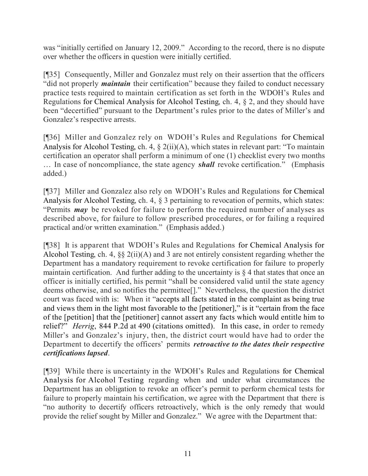was "initially certified on January 12, 2009." According to the record, there is no dispute over whether the officers in question were initially certified.

[¶35] Consequently, Miller and Gonzalez must rely on their assertion that the officers "did not properly *maintain* their certification" because they failed to conduct necessary practice tests required to maintain certification as set forth in the WDOH's Rules and Regulations for Chemical Analysis for Alcohol Testing, ch. 4, § 2, and they should have been "decertified" pursuant to the Department's rules prior to the dates of Miller's and Gonzalez's respective arrests.

[¶36] Miller and Gonzalez rely on WDOH's Rules and Regulations for Chemical Analysis for Alcohol Testing, ch. 4, § 2(ii)(A), which states in relevant part: "To maintain certification an operator shall perform a minimum of one (1) checklist every two months … In case of noncompliance, the state agency *shall* revoke certification." (Emphasis added.)

[¶37] Miller and Gonzalez also rely on WDOH's Rules and Regulations for Chemical Analysis for Alcohol Testing, ch. 4, § 3 pertaining to revocation of permits, which states: "Permits *may* be revoked for failure to perform the required number of analyses as described above, for failure to follow prescribed procedures, or for failing a required practical and/or written examination." (Emphasis added.)

[¶38] It is apparent that WDOH's Rules and Regulations for Chemical Analysis for Alcohol Testing, ch. 4, §§ 2(ii)(A) and 3 are not entirely consistent regarding whether the Department has a mandatory requirement to revoke certification for failure to properly maintain certification. And further adding to the uncertainty is  $\S 4$  that states that once an officer is initially certified, his permit "shall be considered valid until the state agency deems otherwise, and so notifies the permittee[]." Nevertheless, the question the district court was faced with is: When it "accepts all facts stated in the complaint as being true and views them in the light most favorable to the [petitioner]," is it "certain from the face of the [petition] that the [petitioner] cannot assert any facts which would entitle him to relief?" *Herrig*, 844 P.2d at 490 (citations omitted). In this case, in order to remedy Miller's and Gonzalez's injury, then, the district court would have had to order the Department to decertify the officers' permits *retroactive to the dates their respective certifications lapsed*.

[¶39] While there is uncertainty in the WDOH's Rules and Regulations for Chemical Analysis for Alcohol Testing regarding when and under what circumstances the Department has an obligation to revoke an officer's permit to perform chemical tests for failure to properly maintain his certification, we agree with the Department that there is "no authority to decertify officers retroactively, which is the only remedy that would provide the relief sought by Miller and Gonzalez." We agree with the Department that: